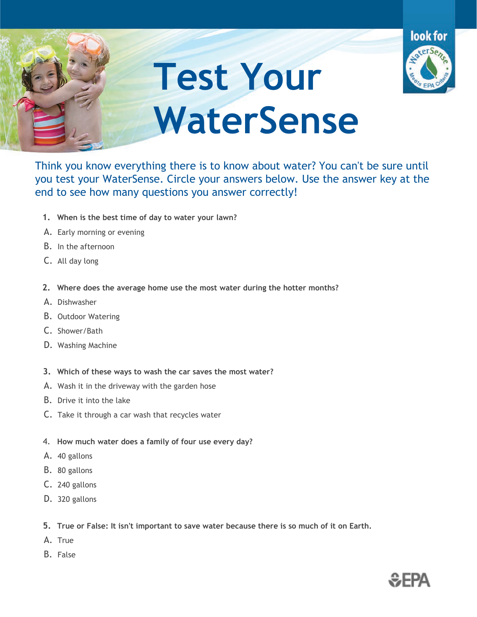

**WaterSense**

Think you know everything there is to know about water? You can't be sure until you test your WaterSense. Circle your answers below. Use the answer key at the end to see how many questions you answer correctly!

**Test Your** 

- **1. When is the best time of day to water your lawn?**
- A. Early morning or evening
- B. In the afternoon
- C. All day long
- **2. Where does the average home use the most water during the hotter months?**
- A. Dishwasher
- B. Outdoor Watering
- C. Shower/Bath
- D. Washing Machine
- **3. Which of these ways to wash the car saves the most water?**
- A. Wash it in the driveway with the garden hose
- B. Drive it into the lake
- C. Take it through a car wash that recycles water
- 4. **How much water does a family of four use every day?**
- A. 40 gallons
- B. 80 gallons
- C. 240 gallons
- D. 320 gallons
- **5. True or False: It isn't important to save water because there is so much of it on Earth.**
- A. True
- B. False

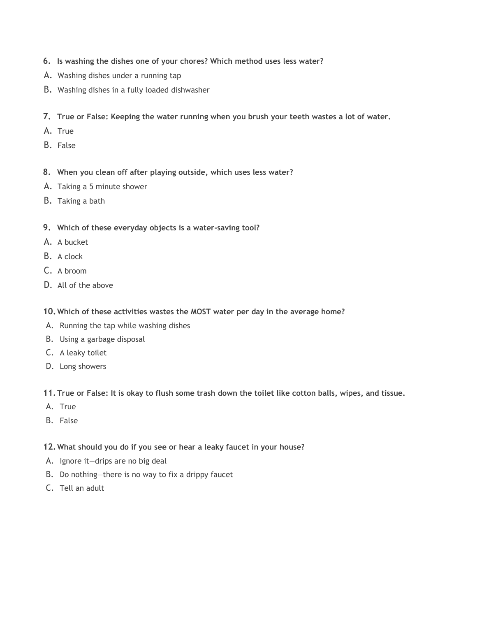- **6. Is washing the dishes one of your chores? Which method uses less water?**
- A. Washing dishes under a running tap
- B. Washing dishes in a fully loaded dishwasher
- **7. True or False: Keeping the water running when you brush your teeth wastes a lot of water.**
- A. True
- B. False
- **8. When you clean off after playing outside, which uses less water?**
- A. Taking a 5 minute shower
- B. Taking a bath
- **9. Which of these everyday objects is a water-saving tool?**
- A. A bucket
- B. A clock
- C. A broom
- D. All of the above
- **10.Which of these activities wastes the MOST water per day in the average home?**
- A. Running the tap while washing dishes
- B. Using a garbage disposal
- C. A leaky toilet
- D. Long showers

## **11.True or False: It is okay to flush some trash down the toilet like cotton balls, wipes, and tissue.**

- A. True
- B. False

## **12.What should you do if you see or hear a leaky faucet in your house?**

- A. Ignore it—drips are no big deal
- B. Do nothing—there is no way to fix a drippy faucet
- C. Tell an adult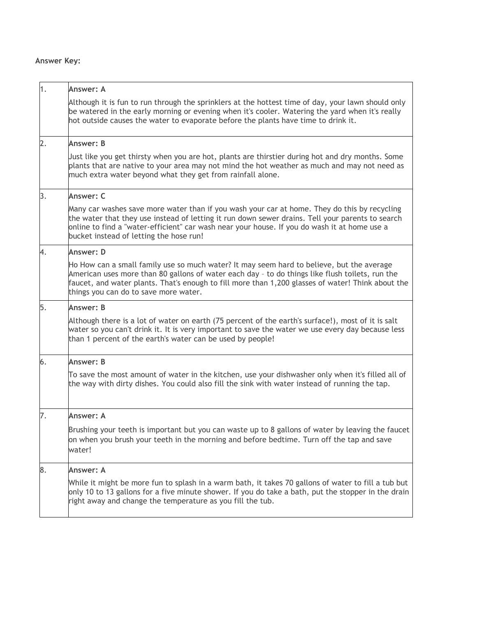## **Answer Key:**

| 1. | Answer: A                                                                                                                                                                                                                                                                                                                                   |
|----|---------------------------------------------------------------------------------------------------------------------------------------------------------------------------------------------------------------------------------------------------------------------------------------------------------------------------------------------|
|    | Although it is fun to run through the sprinklers at the hottest time of day, your lawn should only<br>be watered in the early morning or evening when it's cooler. Watering the yard when it's really<br>hot outside causes the water to evaporate before the plants have time to drink it.                                                 |
| 2. | Answer: B                                                                                                                                                                                                                                                                                                                                   |
|    | Just like you get thirsty when you are hot, plants are thirstier during hot and dry months. Some<br>plants that are native to your area may not mind the hot weather as much and may not need as<br>much extra water beyond what they get from rainfall alone.                                                                              |
| 3. | Answer: C                                                                                                                                                                                                                                                                                                                                   |
|    | Many car washes save more water than if you wash your car at home. They do this by recycling<br>the water that they use instead of letting it run down sewer drains. Tell your parents to search<br>online to find a "water-efficient" car wash near your house. If you do wash it at home use a<br>bucket instead of letting the hose run! |
| 4. | <b>Answer: D</b>                                                                                                                                                                                                                                                                                                                            |
|    | Ho How can a small family use so much water? It may seem hard to believe, but the average<br>American uses more than 80 gallons of water each day - to do things like flush toilets, run the<br>faucet, and water plants. That's enough to fill more than 1,200 glasses of water! Think about the<br>things you can do to save more water.  |
| 5. | Answer: B                                                                                                                                                                                                                                                                                                                                   |
|    | Although there is a lot of water on earth (75 percent of the earth's surface!), most of it is salt<br>water so you can't drink it. It is very important to save the water we use every day because less<br>than 1 percent of the earth's water can be used by people!                                                                       |
| 6. | Answer: B                                                                                                                                                                                                                                                                                                                                   |
|    | To save the most amount of water in the kitchen, use your dishwasher only when it's filled all of<br>the way with dirty dishes. You could also fill the sink with water instead of running the tap.                                                                                                                                         |
| 7. | Answer: A                                                                                                                                                                                                                                                                                                                                   |
|    | Brushing your teeth is important but you can waste up to 8 gallons of water by leaving the faucet<br>on when you brush your teeth in the morning and before bedtime. Turn off the tap and save<br>water!                                                                                                                                    |
| 8. | <b>Answer: A</b>                                                                                                                                                                                                                                                                                                                            |
|    | While it might be more fun to splash in a warm bath, it takes 70 gallons of water to fill a tub but<br>only 10 to 13 gallons for a five minute shower. If you do take a bath, put the stopper in the drain<br>right away and change the temperature as you fill the tub.                                                                    |